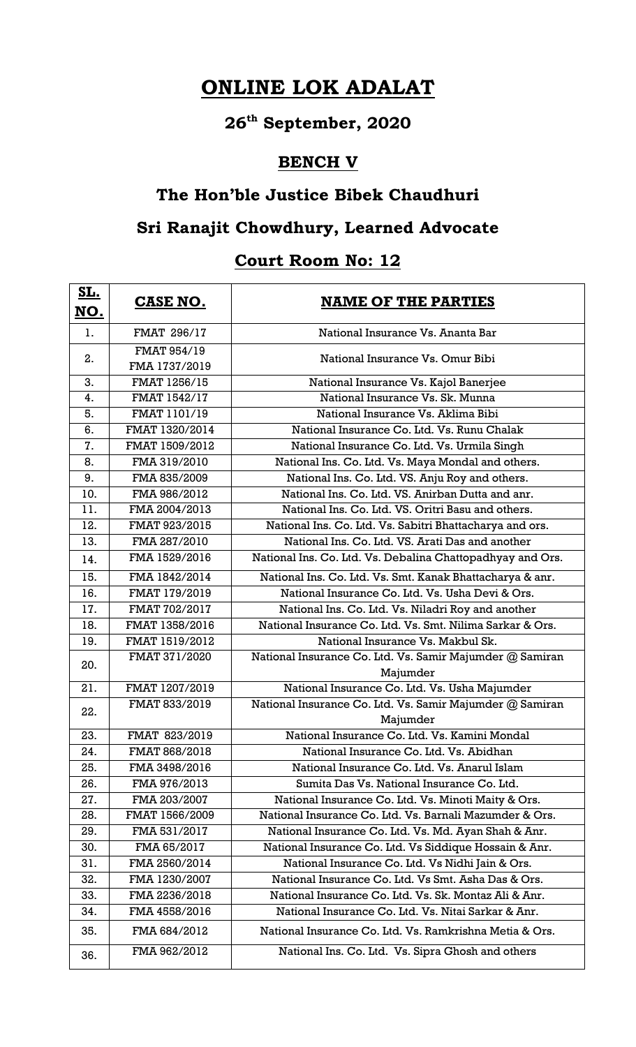# **ONLINE LOK ADALAT**

## **26th September, 2020**

#### **BENCH V**

#### **The Hon'ble Justice Bibek Chaudhuri**

## **Sri Ranajit Chowdhury, Learned Advocate**

## **Court Room No: 12**

| <u>SL.</u><br><u>NO.</u> | <b>CASE NO.</b>              | <b>NAME OF THE PARTIES</b>                                           |
|--------------------------|------------------------------|----------------------------------------------------------------------|
| 1.                       | <b>FMAT 296/17</b>           | National Insurance Vs. Ananta Bar                                    |
| 2.                       | FMAT 954/19<br>FMA 1737/2019 | National Insurance Vs. Omur Bibi                                     |
| 3.                       | FMAT 1256/15                 | National Insurance Vs. Kajol Banerjee                                |
| 4.                       | FMAT 1542/17                 | National Insurance Vs. Sk. Munna                                     |
| 5.                       | FMAT 1101/19                 | National Insurance Vs. Aklima Bibi                                   |
| 6.                       | FMAT 1320/2014               | National Insurance Co. Ltd. Vs. Runu Chalak                          |
| 7.                       | FMAT 1509/2012               | National Insurance Co. Ltd. Vs. Urmila Singh                         |
| 8.                       | FMA 319/2010                 | National Ins. Co. Ltd. Vs. Maya Mondal and others.                   |
| 9.                       | FMA 835/2009                 | National Ins. Co. Ltd. VS. Anju Roy and others.                      |
| 10.                      | FMA 986/2012                 | National Ins. Co. Ltd. VS. Anirban Dutta and anr.                    |
| 11.                      | FMA 2004/2013                | National Ins. Co. Ltd. VS. Oritri Basu and others.                   |
| 12.                      | FMAT 923/2015                | National Ins. Co. Ltd. Vs. Sabitri Bhattacharya and ors.             |
| 13.                      | FMA 287/2010                 | National Ins. Co. Ltd. VS. Arati Das and another                     |
| 14.                      | FMA 1529/2016                | National Ins. Co. Ltd. Vs. Debalina Chattopadhyay and Ors.           |
| 15.                      | FMA 1842/2014                | National Ins. Co. Ltd. Vs. Smt. Kanak Bhattacharya & anr.            |
| 16.                      | FMAT 179/2019                | National Insurance Co. Ltd. Vs. Usha Devi & Ors.                     |
| 17.                      | FMAT 702/2017                | National Ins. Co. Ltd. Vs. Niladri Roy and another                   |
| 18.                      | FMAT 1358/2016               | National Insurance Co. Ltd. Vs. Smt. Nilima Sarkar & Ors.            |
| 19.                      | FMAT 1519/2012               | National Insurance Vs. Makbul Sk.                                    |
| 20.                      | FMAT 371/2020                | National Insurance Co. Ltd. Vs. Samir Majumder @ Samiran<br>Majumder |
| 21.                      | FMAT 1207/2019               | National Insurance Co. Ltd. Vs. Usha Majumder                        |
| 22.                      | FMAT 833/2019                | National Insurance Co. Ltd. Vs. Samir Majumder @ Samiran<br>Majumder |
| 23.                      | FMAT 823/2019                | National Insurance Co. Ltd. Vs. Kamini Mondal                        |
| 24.                      | FMAT 868/2018                | National Insurance Co. Ltd. Vs. Abidhan                              |
| 25.                      | FMA 3498/2016                | National Insurance Co. Ltd. Vs. Anarul Islam                         |
| 26.                      | FMA 976/2013                 | Sumita Das Vs. National Insurance Co. Ltd.                           |
| 27.                      | FMA 203/2007                 | National Insurance Co. Ltd. Vs. Minoti Maity & Ors.                  |
| 28.                      | FMAT 1566/2009               | National Insurance Co. Ltd. Vs. Barnali Mazumder & Ors.              |
| 29.                      | FMA 531/2017                 | National Insurance Co. Ltd. Vs. Md. Ayan Shah & Anr.                 |
| 30.                      | FMA 65/2017                  | National Insurance Co. Ltd. Vs Siddique Hossain & Anr.               |
| 31.                      | FMA 2560/2014                | National Insurance Co. Ltd. Vs Nidhi Jain & Ors.                     |
| 32.                      | FMA 1230/2007                | National Insurance Co. Ltd. Vs Smt. Asha Das & Ors.                  |
| 33.                      | FMA 2236/2018                | National Insurance Co. Ltd. Vs. Sk. Montaz Ali & Anr.                |
| 34.                      | FMA 4558/2016                | National Insurance Co. Ltd. Vs. Nitai Sarkar & Anr.                  |
| 35.                      | FMA 684/2012                 | National Insurance Co. Ltd. Vs. Ramkrishna Metia & Ors.              |
| 36.                      | FMA 962/2012                 | National Ins. Co. Ltd. Vs. Sipra Ghosh and others                    |